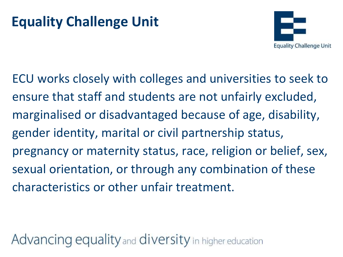## **Equality Challenge Unit**



ECU works closely with colleges and universities to seek to ensure that staff and students are not unfairly excluded, marginalised or disadvantaged because of age, disability, gender identity, marital or civil partnership status, pregnancy or maternity status, race, religion or belief, sex, sexual orientation, or through any combination of these characteristics or other unfair treatment.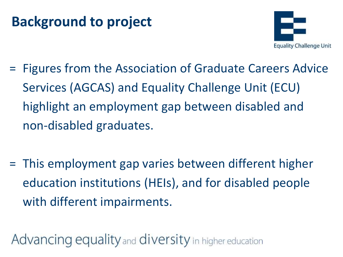### **Background to project**



- = Figures from the Association of Graduate Careers Advice Services (AGCAS) and Equality Challenge Unit (ECU) highlight an employment gap between disabled and non-disabled graduates.
- = This employment gap varies between different higher education institutions (HEIs), and for disabled people with different impairments.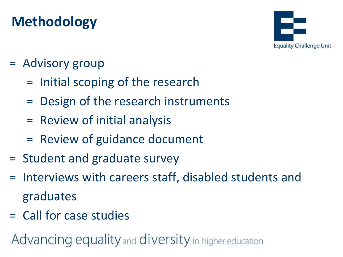# **Methodology**



#### = Advisory group

- = Initial scoping of the research
- = Design of the research instruments
- = Review of initial analysis
- = Review of guidance document
- = Student and graduate survey
- = Interviews with careers staff, disabled students and graduates
- = Call for case studies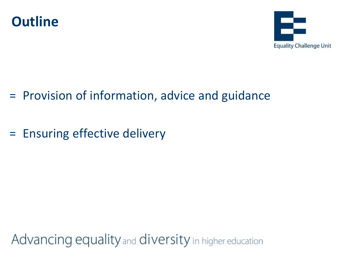



- = Provision of information, advice and guidance
- = Ensuring effective delivery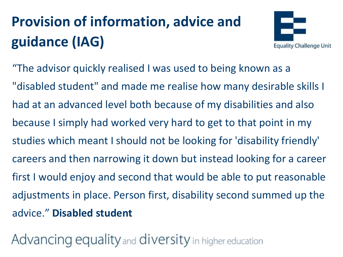# **Provision of information, advice and guidance (IAG)**



"The advisor quickly realised I was used to being known as a "disabled student" and made me realise how many desirable skills I had at an advanced level both because of my disabilities and also because I simply had worked very hard to get to that point in my studies which meant I should not be looking for 'disability friendly' careers and then narrowing it down but instead looking for a career first I would enjoy and second that would be able to put reasonable adjustments in place. Person first, disability second summed up the advice." **Disabled student**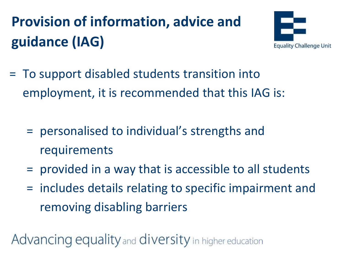# **Provision of information, advice and guidance (IAG)**



- = To support disabled students transition into employment, it is recommended that this IAG is:
	- = personalised to individual's strengths and requirements
	- = provided in a way that is accessible to all students
	- = includes details relating to specific impairment and removing disabling barriers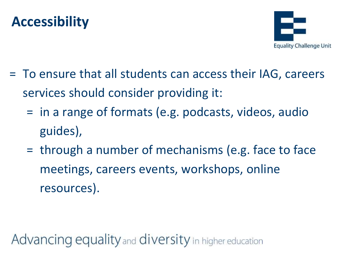#### **Accessibility**



- = To ensure that all students can access their IAG, careers services should consider providing it:
	- = in a range of formats (e.g. podcasts, videos, audio guides),
	- = through a number of mechanisms (e.g. face to face meetings, careers events, workshops, online resources).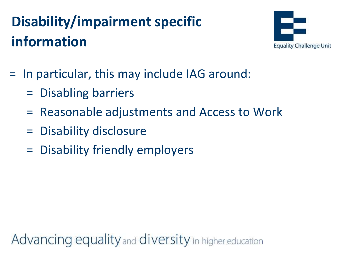# **Disability/impairment specific information**



- = In particular, this may include IAG around:
	- = Disabling barriers
	- = Reasonable adjustments and Access to Work
	- = Disability disclosure
	- = Disability friendly employers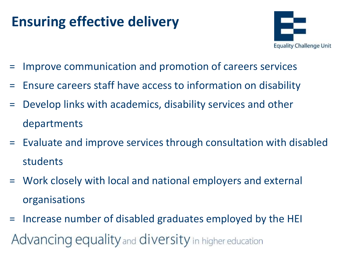## **Ensuring effective delivery**



- = Improve communication and promotion of careers services
- = Ensure careers staff have access to information on disability
- = Develop links with academics, disability services and other departments
- = Evaluate and improve services through consultation with disabled students
- = Work closely with local and national employers and external organisations
- = Increase number of disabled graduates employed by the HEI Advancing equality and diversity in higher education